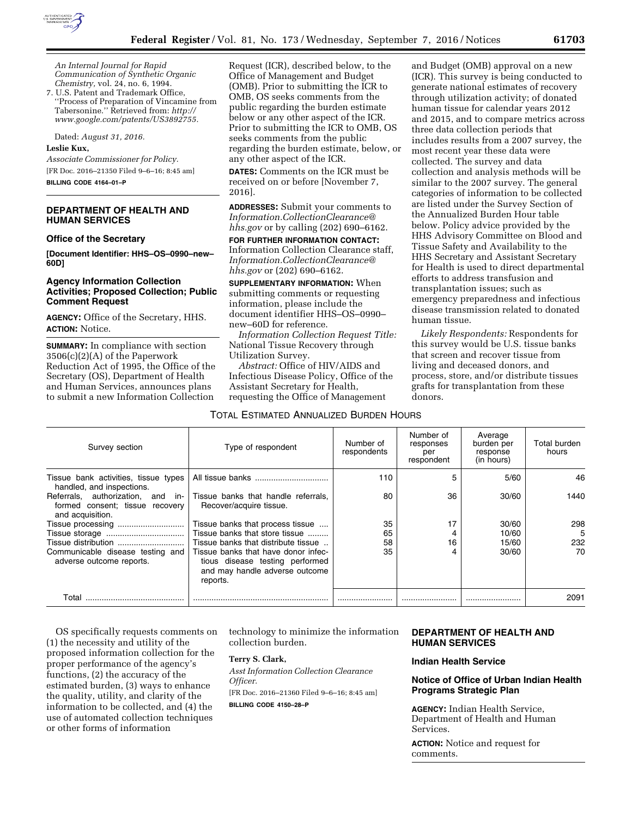

*An Internal Journal for Rapid Communication of Synthetic Organic Chemistry,* vol. 24, no. 6, 1994.

7. U.S. Patent and Trademark Office, ''Process of Preparation of Vincamine from Tabersonine.'' Retrieved from: *[http://](http://www.google.com/patents/US3892755) [www.google.com/patents/US3892755.](http://www.google.com/patents/US3892755)* 

Dated: *August 31, 2016.* 

## **Leslie Kux,**

*Associate Commissioner for Policy.*  [FR Doc. 2016–21350 Filed 9–6–16; 8:45 am] **BILLING CODE 4164–01–P** 

# **DEPARTMENT OF HEALTH AND HUMAN SERVICES**

#### **Office of the Secretary**

**[Document Identifier: HHS–OS–0990–new– 60D]** 

# **Agency Information Collection Activities; Proposed Collection; Public Comment Request**

**AGENCY:** Office of the Secretary, HHS. **ACTION:** Notice.

**SUMMARY:** In compliance with section 3506(c)(2)(A) of the Paperwork Reduction Act of 1995, the Office of the Secretary (OS), Department of Health and Human Services, announces plans to submit a new Information Collection

Request (ICR), described below, to the Office of Management and Budget (OMB). Prior to submitting the ICR to OMB, OS seeks comments from the public regarding the burden estimate below or any other aspect of the ICR. Prior to submitting the ICR to OMB, OS seeks comments from the public regarding the burden estimate, below, or any other aspect of the ICR.

**DATES:** Comments on the ICR must be received on or before [November 7, 2016].

**ADDRESSES:** Submit your comments to *[Information.CollectionClearance@](mailto:Information.CollectionClearance@hhs.gov) [hhs.gov](mailto:Information.CollectionClearance@hhs.gov)* or by calling (202) 690–6162.

**FOR FURTHER INFORMATION CONTACT:**  Information Collection Clearance staff, *[Information.CollectionClearance@](mailto:Information.CollectionClearance@hhs.gov) [hhs.gov](mailto:Information.CollectionClearance@hhs.gov)* or (202) 690–6162.

**SUPPLEMENTARY INFORMATION:** When submitting comments or requesting information, please include the document identifier HHS–OS–0990– new–60D for reference.

*Information Collection Request Title:*  National Tissue Recovery through Utilization Survey.

*Abstract:* Office of HIV/AIDS and Infectious Disease Policy, Office of the Assistant Secretary for Health, requesting the Office of Management

### TOTAL ESTIMATED ANNUALIZED BURDEN HOURS

and Budget (OMB) approval on a new (ICR). This survey is being conducted to generate national estimates of recovery through utilization activity; of donated human tissue for calendar years 2012 and 2015, and to compare metrics across three data collection periods that includes results from a 2007 survey, the most recent year these data were collected. The survey and data collection and analysis methods will be similar to the 2007 survey. The general categories of information to be collected are listed under the Survey Section of the Annualized Burden Hour table below. Policy advice provided by the HHS Advisory Committee on Blood and Tissue Safety and Availability to the HHS Secretary and Assistant Secretary for Health is used to direct departmental efforts to address transfusion and transplantation issues; such as emergency preparedness and infectious disease transmission related to donated human tissue.

*Likely Respondents:* Respondents for this survey would be U.S. tissue banks that screen and recover tissue from living and deceased donors, and process, store, and/or distribute tissues grafts for transplantation from these donors.

| Survey section                                                                           | Type of respondent                                                                                                   | Number of<br>respondents | Number of<br>responses<br>per<br>respondent | Average<br>burden per<br>response<br>(in hours) | Total burden<br>hours |
|------------------------------------------------------------------------------------------|----------------------------------------------------------------------------------------------------------------------|--------------------------|---------------------------------------------|-------------------------------------------------|-----------------------|
| Tissue bank activities, tissue types<br>handled, and inspections.                        |                                                                                                                      | 110                      | 5                                           | 5/60                                            | 46                    |
| Referrals, authorization, and in-<br>formed consent; tissue recovery<br>and acquisition. | Tissue banks that handle referrals,<br>Recover/acquire tissue.                                                       | 80                       | 36                                          | 30/60                                           | 1440                  |
|                                                                                          | Tissue banks that process tissue                                                                                     | 35                       | 17                                          | 30/60                                           | 298                   |
|                                                                                          | Tissue banks that store tissue                                                                                       | 65                       | 4                                           | 10/60                                           | 5                     |
| Tissue distribution                                                                      | Tissue banks that distribute tissue                                                                                  | 58                       | 16                                          | 15/60                                           | 232                   |
| Communicable disease testing and<br>adverse outcome reports.                             | Tissue banks that have donor infec-<br>tious disease testing performed<br>and may handle adverse outcome<br>reports. | 35                       | 4                                           | 30/60                                           | 70                    |
| Total                                                                                    |                                                                                                                      |                          |                                             |                                                 | 2091                  |

OS specifically requests comments on (1) the necessity and utility of the proposed information collection for the proper performance of the agency's functions, (2) the accuracy of the estimated burden, (3) ways to enhance the quality, utility, and clarity of the information to be collected, and (4) the use of automated collection techniques or other forms of information

technology to minimize the information collection burden.

# **Terry S. Clark,**

*Asst Information Collection Clearance Officer.*  [FR Doc. 2016–21360 Filed 9–6–16; 8:45 am]

**BILLING CODE 4150–28–P** 

# **DEPARTMENT OF HEALTH AND HUMAN SERVICES**

## **Indian Health Service**

# **Notice of Office of Urban Indian Health Programs Strategic Plan**

**AGENCY:** Indian Health Service, Department of Health and Human Services.

**ACTION:** Notice and request for comments.